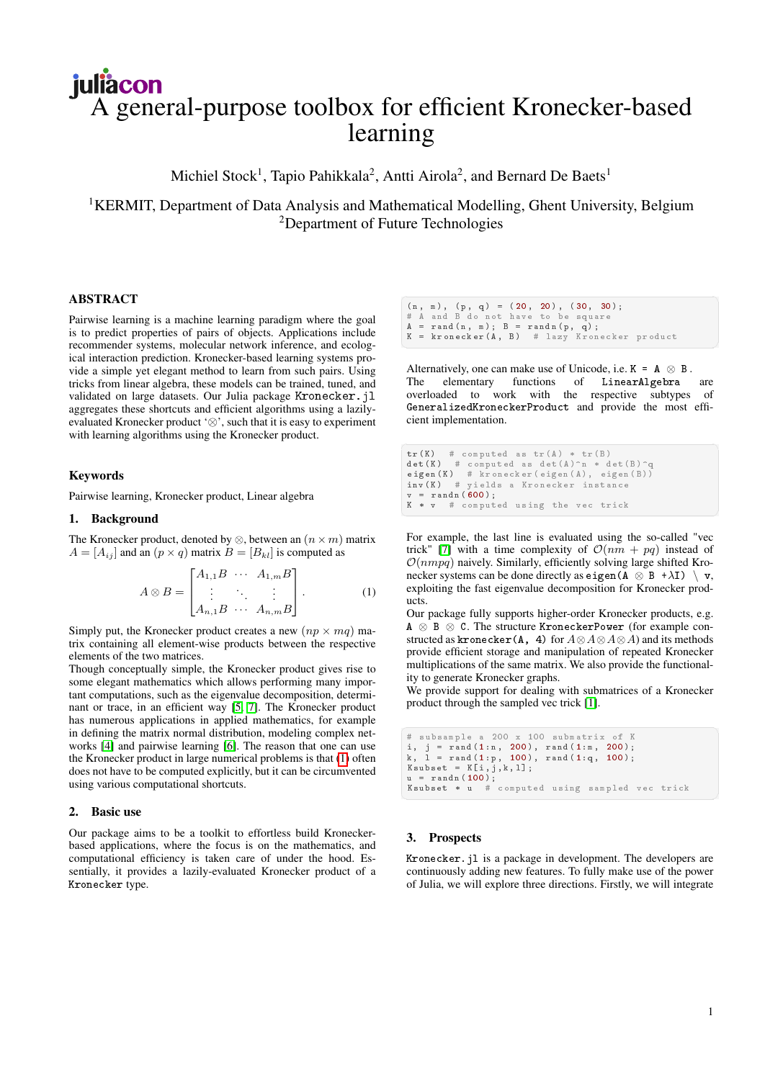# juliacon A general-purpose toolbox for efficient Kronecker-based learning

Michiel Stock<sup>1</sup>, Tapio Pahikkala<sup>2</sup>, Antti Airola<sup>2</sup>, and Bernard De Baets<sup>1</sup>

<sup>1</sup>KERMIT, Department of Data Analysis and Mathematical Modelling, Ghent University, Belgium <sup>2</sup>Department of Future Technologies

# ABSTRACT

Pairwise learning is a machine learning paradigm where the goal is to predict properties of pairs of objects. Applications include recommender systems, molecular network inference, and ecological interaction prediction. Kronecker-based learning systems provide a simple yet elegant method to learn from such pairs. Using tricks from linear algebra, these models can be trained, tuned, and validated on large datasets. Our Julia package Kronecker. jl aggregates these shortcuts and efficient algorithms using a lazilyevaluated Kronecker product '⊗', such that it is easy to experiment with learning algorithms using the Kronecker product.

## Keywords

Pairwise learning, Kronecker product, Linear algebra

## 1. Background

The Kronecker product, denoted by  $\otimes$ , between an  $(n \times m)$  matrix  $A = [A_{ij}]$  and an  $(p \times q)$  matrix  $B = [B_{kl}]$  is computed as

$$
A \otimes B = \begin{bmatrix} A_{1,1}B & \cdots & A_{1,m}B \\ \vdots & \ddots & \vdots \\ A_{n,1}B & \cdots & A_{n,m}B \end{bmatrix} .
$$
 (1)

Simply put, the Kronecker product creates a new  $(np \times mq)$  matrix containing all element-wise products between the respective elements of the two matrices.

Though conceptually simple, the Kronecker product gives rise to some elegant mathematics which allows performing many important computations, such as the eigenvalue decomposition, determinant or trace, in an efficient way [\[5,](#page-1-0) [7\]](#page-1-1). The Kronecker product has numerous applications in applied mathematics, for example in defining the matrix normal distribution, modeling complex networks [\[4\]](#page-1-2) and pairwise learning [\[6\]](#page-1-3). The reason that one can use the Kronecker product in large numerical problems is that [\(1\)](#page-0-0) often does not have to be computed explicitly, but it can be circumvented using various computational shortcuts.

#### 2. Basic use

Our package aims to be a toolkit to effortless build Kroneckerbased applications, where the focus is on the mathematics, and computational efficiency is taken care of under the hood. Essentially, it provides a lazily-evaluated Kronecker product of a Kronecker type.

 $(n, m), (p, q) = (20, 20), (30, 30);$  $# A$  and  $B$  do not have to be square<br> $A = \text{rand}(n, m) : B = \text{randn}(p, q)$ :  $A = \text{rand}(n, m); B = \text{rand}(p, q);$ <br>  $K = \text{trangent}(A, B)$  # lazy Krone  $=$  kronecker (A, B) # lazy Kronecker product

Alternatively, one can make use of Unicode, i.e.  $K = A \otimes B$ . The elementary functions of LinearAlgebra are overloaded to work with the respective subtypes of GeneralizedKroneckerProduct and provide the most efficient implementation.

```
tr(K) # computed as tr(A) * tr(B)det (K) # computed as det (A) n * det (B) q
 eigen (K) = # kronecker (eigen (A), eigen (B))<br>inv (K) = # yields a Kronecker instance
 v = \text{randn} (600);
K * v # computed using the vec trick
```
<span id="page-0-0"></span>For example, the last line is evaluated using the so-called "vec trick" [\[7\]](#page-1-1) with a time complexity of  $\mathcal{O}(nm + pq)$  instead of  $\mathcal{O}(nmpq)$  naively. Similarly, efficiently solving large shifted Kronecker systems can be done directly as eigen  $(A \otimes B + \lambda I) \setminus v$ , exploiting the fast eigenvalue decomposition for Kronecker products.

Our package fully supports higher-order Kronecker products, e.g. A ⊗ B ⊗ C. The structure KroneckerPower (for example constructed as kronecker(A, 4) for  $A \otimes A \otimes A \otimes A$ ) and its methods provide efficient storage and manipulation of repeated Kronecker multiplications of the same matrix. We also provide the functionality to generate Kronecker graphs.

We provide support for dealing with submatrices of a Kronecker product through the sampled vec trick [\[1\]](#page-1-4).

```
✞ ☎
# s u b s a m p l e a 2 0 0 x 1 0 0 s u b m a t r i x of K
i, j = \text{rand}(1:n, 200), \text{rand}(1:m, 200);<br>k. 1 = \text{rand}(1:p, 100), \text{rand}(1:q, 100);
 k, 1 = rand(1:p, 100), rand(1:q, 100);<br>Ksubset = K[i,j,k,1];
 u = \text{randn}(100);
 K subset * u # computed using sampled vec trick
```
#### 3. Prospects

Kronecker.jl is a package in development. The developers are continuously adding new features. To fully make use of the power of Julia, we will explore three directions. Firstly, we will integrate